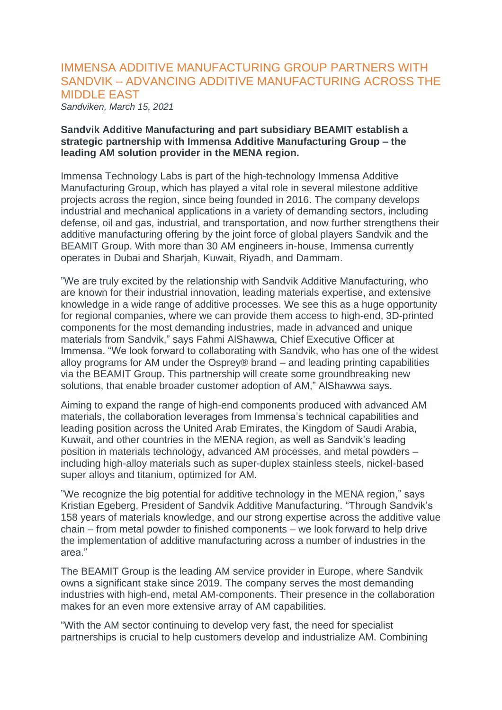## IMMENSA ADDITIVE MANUFACTURING GROUP PARTNERS WITH SANDVIK – ADVANCING ADDITIVE MANUFACTURING ACROSS THE MIDDLE EAST

*Sandviken, March 15, 2021*

## **Sandvik Additive Manufacturing and part subsidiary BEAMIT establish a strategic partnership with Immensa Additive Manufacturing Group – the leading AM solution provider in the MENA region.**

Immensa Technology Labs is part of the high-technology Immensa Additive Manufacturing Group, which has played a vital role in several milestone additive projects across the region, since being founded in 2016. The company develops industrial and mechanical applications in a variety of demanding sectors, including defense, oil and gas, industrial, and transportation, and now further strengthens their additive manufacturing offering by the joint force of global players Sandvik and the BEAMIT Group. With more than 30 AM engineers in-house, Immensa currently operates in Dubai and Sharjah, Kuwait, Riyadh, and Dammam.

"We are truly excited by the relationship with Sandvik Additive Manufacturing, who are known for their industrial innovation, leading materials expertise, and extensive knowledge in a wide range of additive processes. We see this as a huge opportunity for regional companies, where we can provide them access to high-end, 3D-printed components for the most demanding industries, made in advanced and unique materials from Sandvik," says Fahmi AlShawwa, Chief Executive Officer at Immensa. "We look forward to collaborating with Sandvik, who has one of the widest alloy programs for AM under the Osprey® brand – and leading printing capabilities via the BEAMIT Group. This partnership will create some groundbreaking new solutions, that enable broader customer adoption of AM," AlShawwa says.

Aiming to expand the range of high-end components produced with advanced AM materials, the collaboration leverages from Immensa's technical capabilities and leading position across the United Arab Emirates, the Kingdom of Saudi Arabia, Kuwait, and other countries in the MENA region, as well as Sandvik's leading position in materials technology, advanced AM processes, and metal powders – including high-alloy materials such as super-duplex stainless steels, nickel-based super alloys and titanium, optimized for AM.

"We recognize the big potential for additive technology in the MENA region," says Kristian Egeberg, President of Sandvik Additive Manufacturing. "Through Sandvik's 158 years of materials knowledge, and our strong expertise across the additive value chain – from metal powder to finished components – we look forward to help drive the implementation of additive manufacturing across a number of industries in the area."

The BEAMIT Group is the leading AM service provider in Europe, where Sandvik owns a significant stake since 2019. The company serves the most demanding industries with high-end, metal AM-components. Their presence in the collaboration makes for an even more extensive array of AM capabilities.

"With the AM sector continuing to develop very fast, the need for specialist partnerships is crucial to help customers develop and industrialize AM. Combining